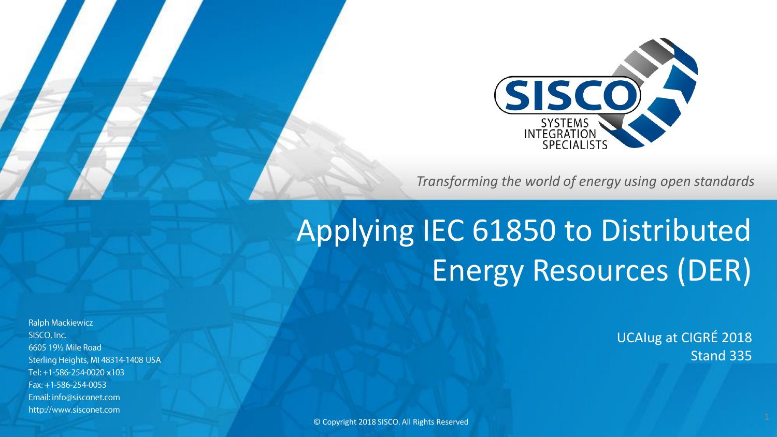

*Transforming the world of energy using open standards*

## Applying IEC 61850 to Distributed Energy Resources (DER)

UCAIug at CIGRÉ 2018 Stand 335

**Ralph Mackiewicz** SISCO, Inc. 6605 191/2 Mile Road Sterling Heights, MI 48314-1408 USA Tel: +1-586-254-0020 x103 Fax: +1-586-254-0053 Email: info@sisconet.com http://www.sisconet.com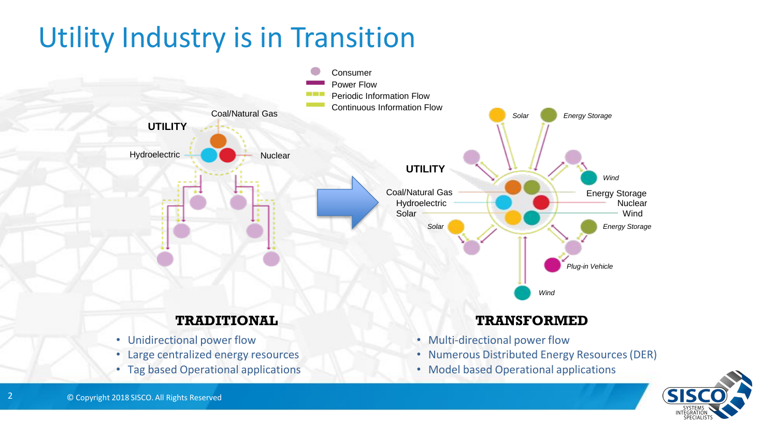### Utility Industry is in Transition





2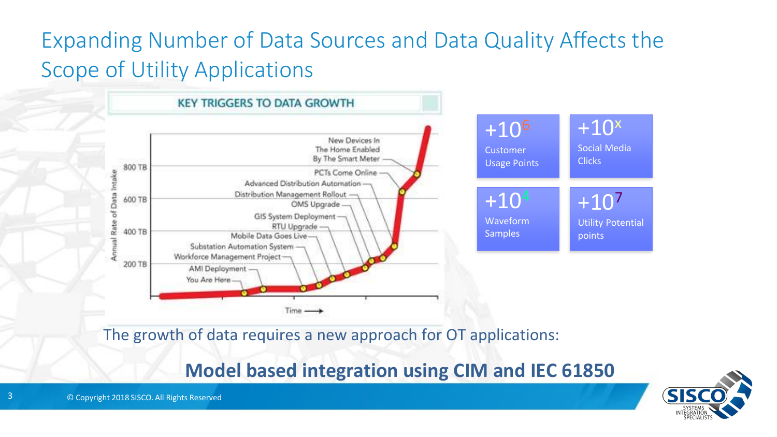### Expanding Number of Data Sources and Data Quality Affects the Scope of Utility Applications



The growth of data requires a new approach for OT applications:

#### **Model based integration using CIM and IEC 61850**



3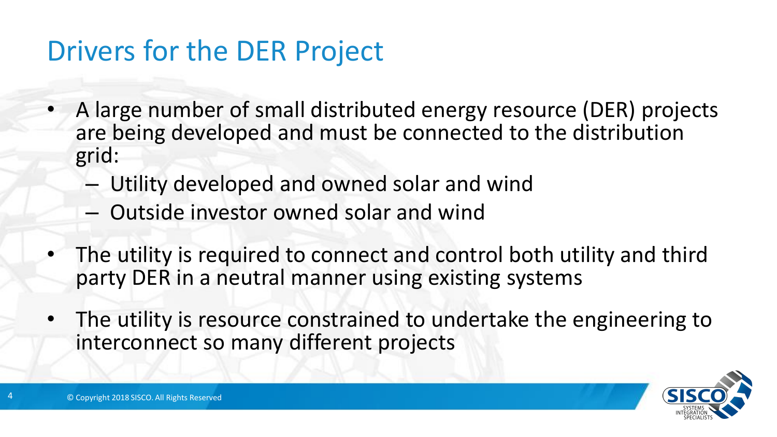### Drivers for the DER Project

- A large number of small distributed energy resource (DER) projects are being developed and must be connected to the distribution grid:
	- Utility developed and owned solar and wind
	- Outside investor owned solar and wind
- The utility is required to connect and control both utility and third party DER in a neutral manner using existing systems
- The utility is resource constrained to undertake the engineering to interconnect so many different projects

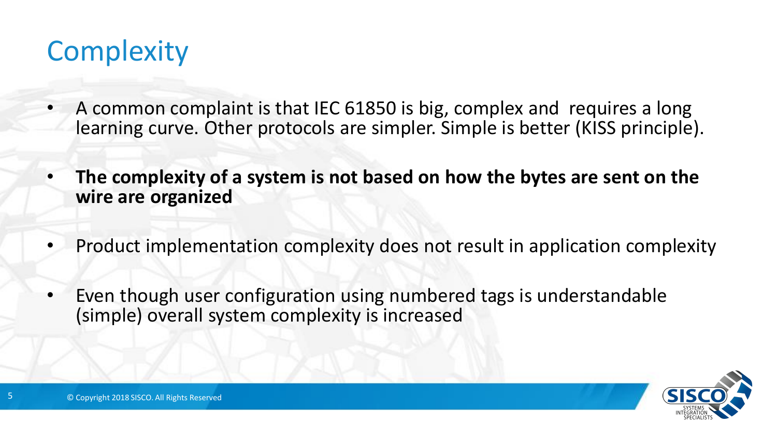### **Complexity**

- A common complaint is that IEC 61850 is big, complex and requires a long learning curve. Other protocols are simpler. Simple is better (KISS principle).
- **The complexity of a system is not based on how the bytes are sent on the wire are organized**
- Product implementation complexity does not result in application complexity
- Even though user configuration using numbered tags is understandable (simple) overall system complexity is increased

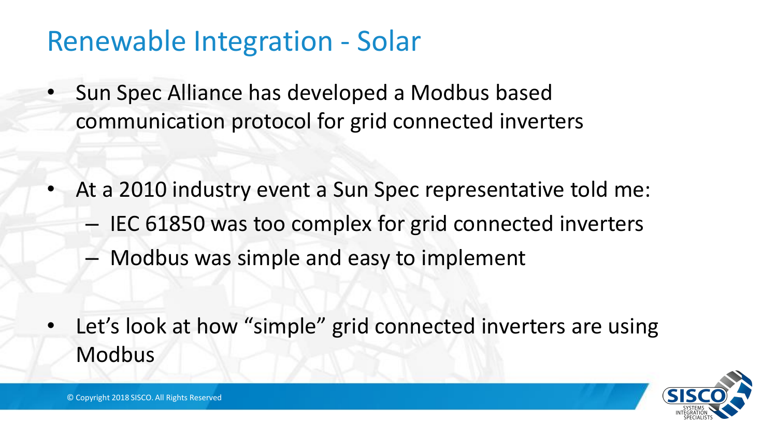### Renewable Integration - Solar

- Sun Spec Alliance has developed a Modbus based communication protocol for grid connected inverters
- At a 2010 industry event a Sun Spec representative told me:
	- IEC 61850 was too complex for grid connected inverters
	- Modbus was simple and easy to implement
- Let's look at how "simple" grid connected inverters are using Modbus

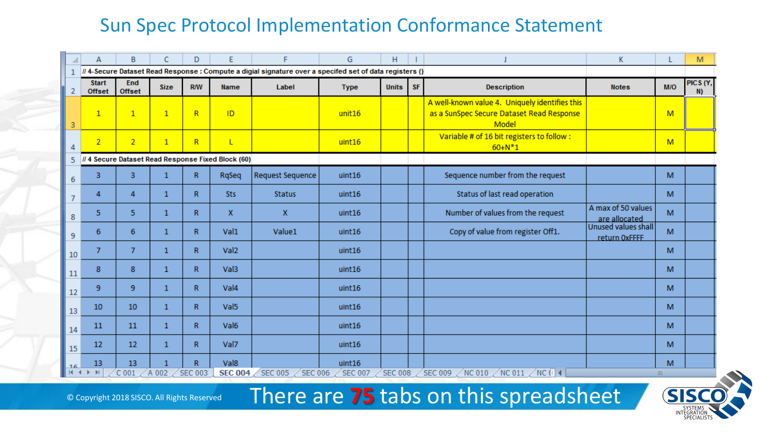#### Sun Spec Protocol Implementation Conformance Statement

|                | A                                                                                                      | B              | C            | D                                         | E                      | F                                  | G                          | H              |           |                                                                                                      | K                                    |          | M              |  |
|----------------|--------------------------------------------------------------------------------------------------------|----------------|--------------|-------------------------------------------|------------------------|------------------------------------|----------------------------|----------------|-----------|------------------------------------------------------------------------------------------------------|--------------------------------------|----------|----------------|--|
| $\mathbf{1}$   | // 4-Secure Dataset Read Response: Compute a digial signature over a specifed set of data registers () |                |              |                                           |                        |                                    |                            |                |           |                                                                                                      |                                      |          |                |  |
| $\overline{2}$ | <b>Start</b><br><b>Offset</b>                                                                          | End<br>Offset  | <b>Size</b>  | <b>R/W</b>                                | <b>Name</b>            | Label                              | <b>Type</b>                | <b>Units</b>   | <b>SF</b> | <b>Description</b>                                                                                   | <b>Notes</b>                         | M/O      | PICS (Y,<br>N) |  |
| 3              | $\mathbf{1}$                                                                                           | $\mathbf{1}$   | $\mathbf{1}$ | R                                         | ID                     |                                    | unit16                     |                |           | A well-known value 4. Uniquely identifies this<br>as a SunSpec Secure Dataset Read Response<br>Model |                                      | M        |                |  |
| 4              | $\overline{2}$                                                                                         | $\overline{2}$ | $\mathbf{1}$ | R                                         | L                      |                                    | uint16                     |                |           | Variable # of 16 bit registers to follow :<br>$60 + N^*1$                                            |                                      | M        |                |  |
| 5              | // 4 Secure Dataset Read Response Fixed Block (60)                                                     |                |              |                                           |                        |                                    |                            |                |           |                                                                                                      |                                      |          |                |  |
| 6              | 3                                                                                                      | 3              | $\mathbf{1}$ | $\mathbb{R}$                              | RgSeg                  | <b>Request Sequence</b>            | uint16                     |                |           | Sequence number from the request                                                                     |                                      | M        |                |  |
| $\overline{7}$ | 4                                                                                                      | 4              | 1            | R                                         | <b>Sts</b>             | <b>Status</b>                      | uint16                     |                |           | Status of last read operation                                                                        |                                      | M        |                |  |
| 8              | 5                                                                                                      | 5              | $\mathbf{1}$ | R                                         | $\mathbf{x}$           | $\mathbf{x}$                       | uint16                     |                |           | Number of values from the request                                                                    | A max of 50 values<br>are allocated  | M        |                |  |
| 9              | 6                                                                                                      | 6              | $\mathbf{1}$ | R                                         | Val1                   | Value1                             | uint16                     |                |           | Copy of value from register Off1.                                                                    | Unused values shall<br>return OxFFFF | M        |                |  |
| 10             | $\overline{7}$                                                                                         | $\overline{7}$ | $\mathbf{1}$ | R.                                        | Val <sub>2</sub>       |                                    | uint16                     |                |           |                                                                                                      |                                      | M        |                |  |
| 11             | 8                                                                                                      | 8              | 1            | $\mathbb{R}$                              | Val3                   |                                    | uint16                     |                |           |                                                                                                      |                                      | M        |                |  |
| 12             | 9                                                                                                      | 9              | $\mathbf{1}$ | $\mathbb{R}$                              | Val <sub>4</sub>       |                                    | uint16                     |                |           |                                                                                                      |                                      | M        |                |  |
| 13             | 10                                                                                                     | 10             | $\mathbf{1}$ | R                                         | Val <sub>5</sub>       |                                    | uint16                     |                |           |                                                                                                      |                                      | M        |                |  |
| 14             | 11                                                                                                     | 11             | 1            | R                                         | Val <sub>6</sub>       |                                    | uint16                     |                |           |                                                                                                      |                                      | M        |                |  |
| 15             | 12                                                                                                     | 12             | 1            | R                                         | Val7                   |                                    | uint16                     |                |           |                                                                                                      |                                      | M        |                |  |
| 16             | 13<br>$H \leftarrow H$                                                                                 | 13<br>$C$ 001  | A 002        | $\overline{\mathsf{R}}$<br><b>SEC 003</b> | Val8<br><b>SEC 004</b> | <b>SEC 005</b><br>$\angle$ SEC 006 | uint16<br>$\angle$ SEC 007 | <b>SEC 008</b> |           | $\sqrt{N}$ C 010 $\sqrt{N}$ C 011 $\sqrt{N}$ C ( $\sqrt{4}$<br>SEC 009                               |                                      | M<br>III |                |  |

There are **75** tabs on this spreadsheet

© Copyright 2018 SISCO. All Rights Reserved

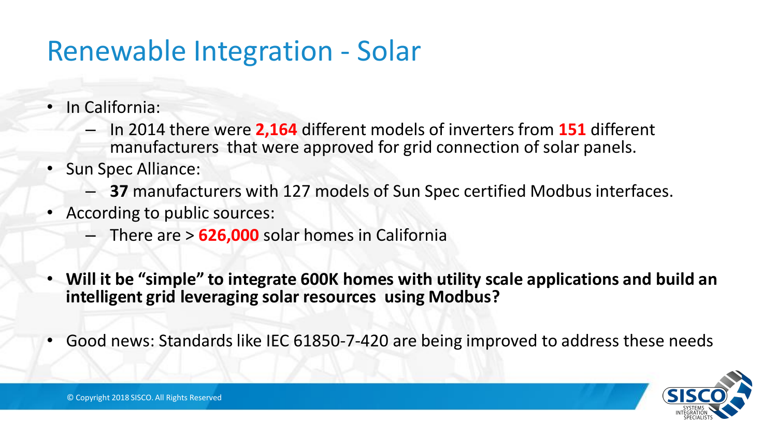### Renewable Integration - Solar

- In California:
	- In 2014 there were **2,164** different models of inverters from **151** different manufacturers that were approved for grid connection of solar panels.
- Sun Spec Alliance:
	- **37** manufacturers with 127 models of Sun Spec certified Modbus interfaces.
- According to public sources:
	- There are > **626,000** solar homes in California
- **Will it be "simple" to integrate 600K homes with utility scale applications and build an intelligent grid leveraging solar resources using Modbus?**
- Good news: Standards like IEC 61850-7-420 are being improved to address these needs

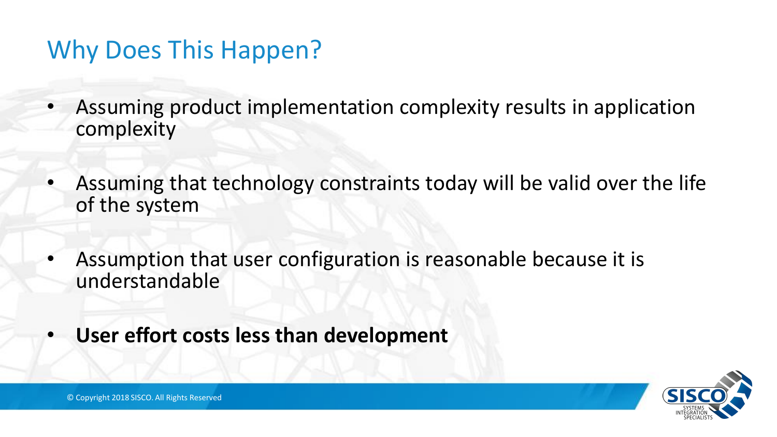### Why Does This Happen?

- Assuming product implementation complexity results in application complexity
- Assuming that technology constraints today will be valid over the life of the system
- Assumption that user configuration is reasonable because it is understandable
- **User effort costs less than development**

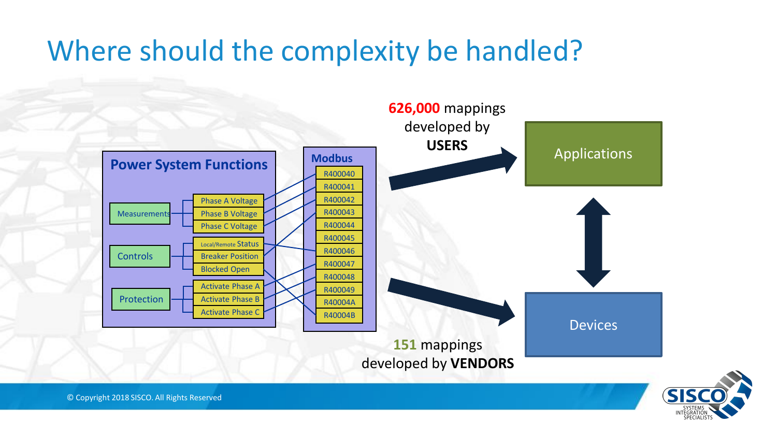### Where should the complexity be handled?





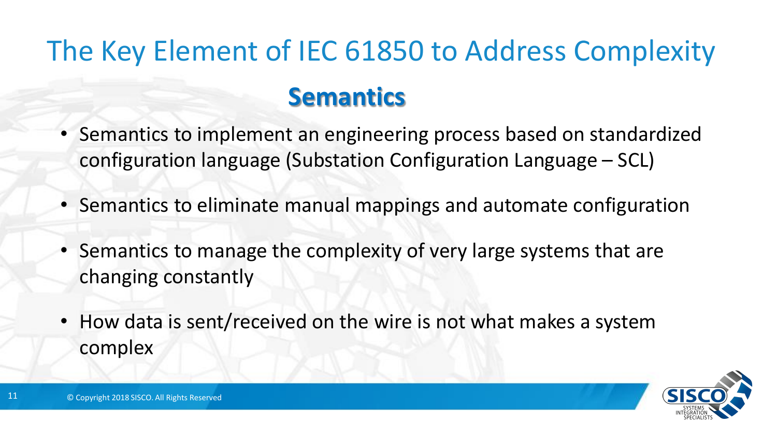# The Key Element of IEC 61850 to Address Complexity **Semantics**

- Semantics to implement an engineering process based on standardized configuration language (Substation Configuration Language – SCL)
- Semantics to eliminate manual mappings and automate configuration
- Semantics to manage the complexity of very large systems that are changing constantly
- How data is sent/received on the wire is not what makes a system complex



11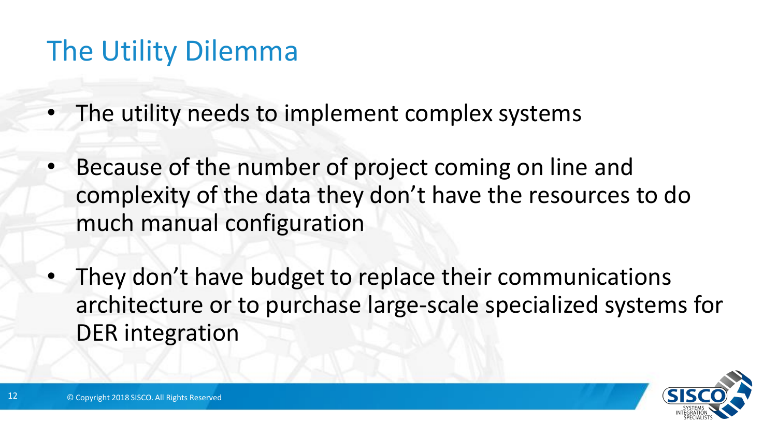### The Utility Dilemma

- The utility needs to implement complex systems
- Because of the number of project coming on line and complexity of the data they don't have the resources to do much manual configuration
- They don't have budget to replace their communications architecture or to purchase large-scale specialized systems for DER integration

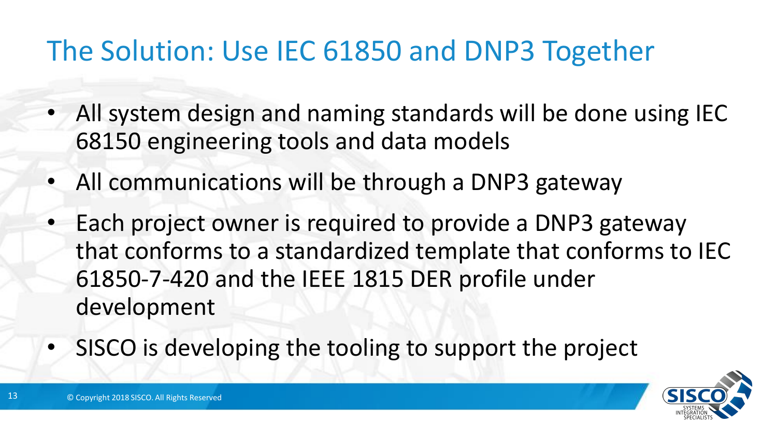### The Solution: Use IEC 61850 and DNP3 Together

- All system design and naming standards will be done using IEC 68150 engineering tools and data models
- All communications will be through a DNP3 gateway
- Each project owner is required to provide a DNP3 gateway that conforms to a standardized template that conforms to IEC 61850-7-420 and the IEEE 1815 DER profile under development
- SISCO is developing the tooling to support the project

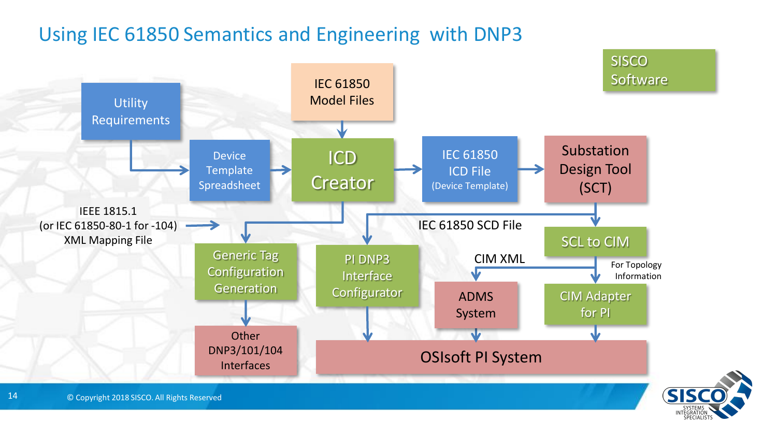#### Using IEC 61850 Semantics and Engineering with DNP3

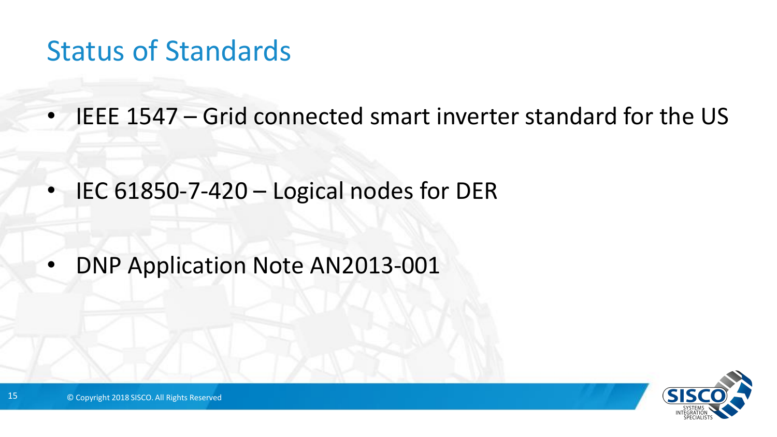### Status of Standards

• IEEE 1547 – Grid connected smart inverter standard for the US

• IEC 61850-7-420 – Logical nodes for DER

• DNP Application Note AN2013-001

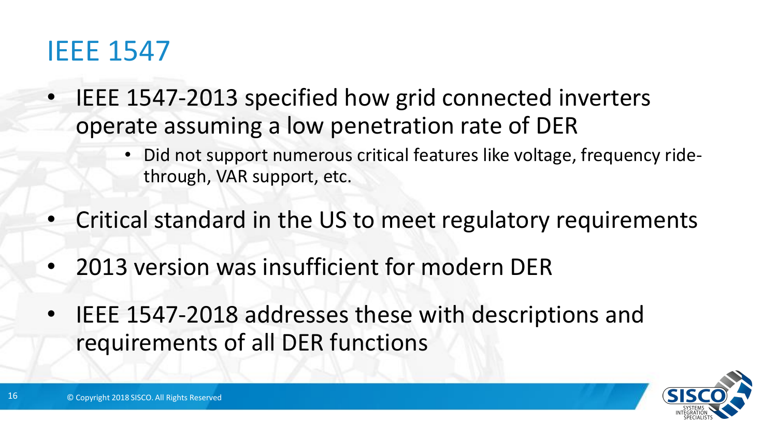### IEEE 1547

- IEEE 1547-2013 specified how grid connected inverters operate assuming a low penetration rate of DER
	- Did not support numerous critical features like voltage, frequency ridethrough, VAR support, etc.
- Critical standard in the US to meet regulatory requirements
- 2013 version was insufficient for modern DER
- IEEE 1547-2018 addresses these with descriptions and requirements of all DER functions

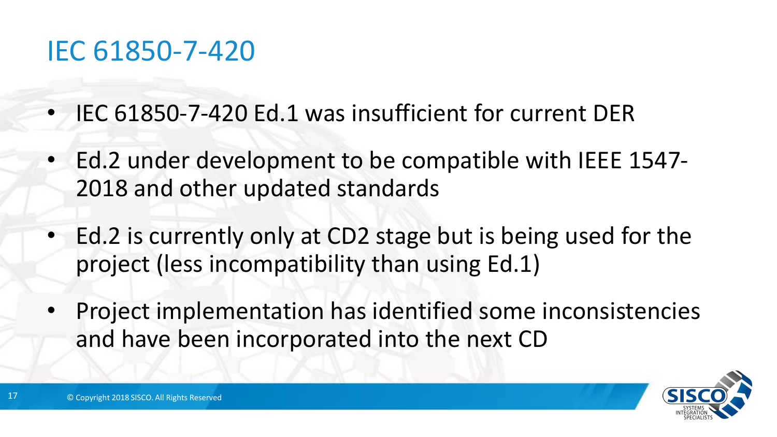### IEC 61850-7-420

- IEC 61850-7-420 Ed.1 was insufficient for current DER
- Ed.2 under development to be compatible with IEEE 1547- 2018 and other updated standards
- Ed.2 is currently only at CD2 stage but is being used for the project (less incompatibility than using Ed.1)
- Project implementation has identified some inconsistencies and have been incorporated into the next CD

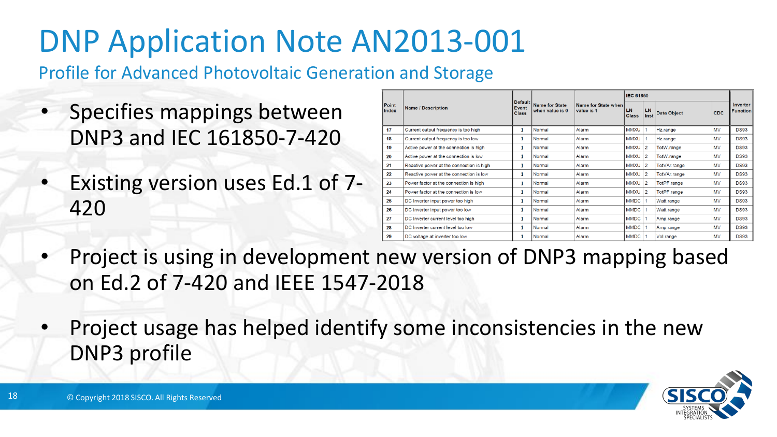# DNP Application Note AN2013-001

Profile for Advanced Photovoltaic Generation and Storage

- Specifies mappings between DNP3 and IEC 161850-7-420
- Existing version uses Ed.1 of 7- 420

|                | <b>Name / Description</b>                |   | <b>Default</b>                           |                                   | <b>IEC 61850</b>          |                |                    |            |                             |
|----------------|------------------------------------------|---|------------------------------------------|-----------------------------------|---------------------------|----------------|--------------------|------------|-----------------------------|
| Point<br>Index |                                          |   | <b>Name for State</b><br>when value is 0 | Name for State when<br>value is 1 | <b>LN</b><br><b>Class</b> | LN<br>Inst     | <b>Data Object</b> | <b>CDC</b> | Inverter<br><b>Function</b> |
| 17             | Current output frequency is too high     |   | Normal                                   | Alarm                             | <b>MMXU</b>               |                | Hz.range           | MV         | <b>DS93</b>                 |
| 18             | Current output frequency is too low      | 1 | Normal                                   | Alarm                             | <b>MMXU</b>               |                | Hz.range           | MV         | <b>DS93</b>                 |
| 19             | Active power at the connection is high   | 1 | Normal                                   | Alarm                             | <b>MMXU</b>               | $\overline{2}$ | TotW.range         | MV         | <b>DS93</b>                 |
| 20             | Active power at the connection is low    |   | Normal                                   | Alarm                             | <b>MMXU</b>               | $\overline{c}$ | TotW.range         | <b>MV</b>  | <b>DS93</b>                 |
| 21             | Reactive power at the connection is high | 1 | Normal                                   | Alarm                             | <b>MMXU</b>               | $\overline{2}$ | TotVAr.range       | <b>MV</b>  | <b>DS93</b>                 |
| 22             | Reactive power at the connection is low  | 1 | Normal                                   | Alarm                             | <b>MMXU</b>               | $\overline{2}$ | TotVAr.range       | <b>MV</b>  | <b>DS93</b>                 |
| 23             | Power factor at the connection is high   | 1 | Normal                                   | Alarm                             | <b>MMXU</b>               | $\overline{c}$ | TotPF.range        | MV         | <b>DS93</b>                 |
| 24             | Power factor at the connection is low    |   | Normal                                   | Alarm                             | <b>MMXU</b>               | $\overline{2}$ | TotPF.range        | <b>MV</b>  | <b>DS93</b>                 |
| 25             | DC Inverter input power too high         |   | Normal                                   | Alarm                             | <b>MMDC</b>               |                | Watt.range         | MV         | <b>DS93</b>                 |
| 26             | DC Inverter input power too low          | 1 | Normal                                   | Alarm                             | <b>MMDC</b>               |                | Watt.range         | MV         | <b>DS93</b>                 |
| 27             | DC Inverter current level too high       |   | Normal                                   | Alarm                             | <b>MMDC</b>               |                | Amp.range          | <b>MV</b>  | <b>DS93</b>                 |
| 28             | DC Inverter current level too low        |   | Normal                                   | Alarm                             | <b>MMDC</b>               |                | Amp.range          | MV         | <b>DS93</b>                 |
| 29             | DC voltage at inverter too low           |   | Normal                                   | Alarm                             | <b>MMDC</b>               |                | Vol.range          | <b>MV</b>  | <b>DS93</b>                 |

- Project is using in development new version of DNP3 mapping based on Ed.2 of 7-420 and IEEE 1547-2018
- Project usage has helped identify some inconsistencies in the new DNP3 profile

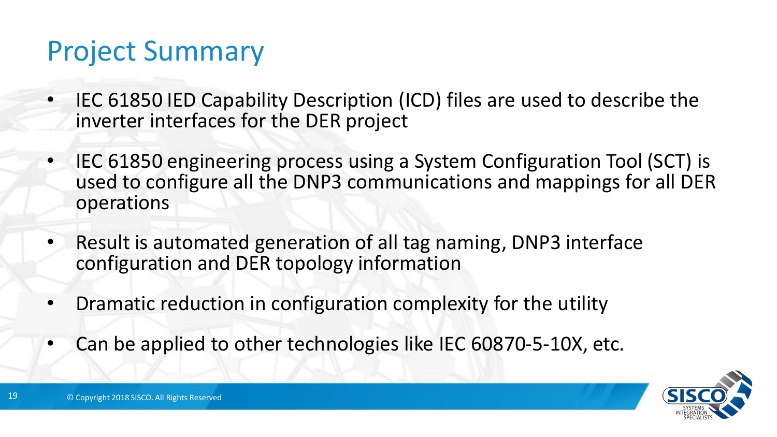### Project Summary

- IEC 61850 IED Capability Description (ICD) files are used to describe the inverter interfaces for the DER project
- IEC 61850 engineering process using a System Configuration Tool (SCT) is used to configure all the DNP3 communications and mappings for all DER operations
- Result is automated generation of all tag naming, DNP3 interface configuration and DER topology information
- Dramatic reduction in configuration complexity for the utility
- Can be applied to other technologies like IEC 60870-5-10X, etc.